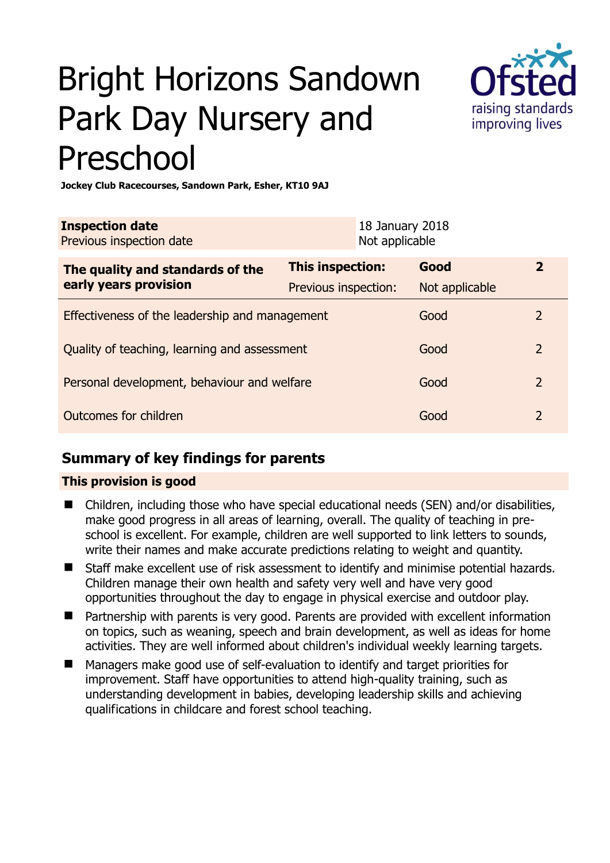# Bright Horizons Sandown Park Day Nursery and Preschool



**Jockey Club Racecourses, Sandown Park, Esher, KT10 9AJ** 

| <b>Inspection date</b><br>Previous inspection date        |                         | 18 January 2018<br>Not applicable |                |                |
|-----------------------------------------------------------|-------------------------|-----------------------------------|----------------|----------------|
| The quality and standards of the<br>early years provision | <b>This inspection:</b> |                                   | Good           | $\mathbf{2}$   |
|                                                           | Previous inspection:    |                                   | Not applicable |                |
| Effectiveness of the leadership and management            |                         |                                   | Good           | 2              |
| Quality of teaching, learning and assessment              |                         |                                   | Good           | $\overline{2}$ |
| Personal development, behaviour and welfare               |                         |                                   | Good           | $\overline{2}$ |
| Outcomes for children                                     |                         |                                   | Good           | $\overline{2}$ |

## **Summary of key findings for parents**

## **This provision is good**

- Children, including those who have special educational needs (SEN) and/or disabilities, make good progress in all areas of learning, overall. The quality of teaching in preschool is excellent. For example, children are well supported to link letters to sounds, write their names and make accurate predictions relating to weight and quantity.
- Staff make excellent use of risk assessment to identify and minimise potential hazards. Children manage their own health and safety very well and have very good opportunities throughout the day to engage in physical exercise and outdoor play.
- Partnership with parents is very good. Parents are provided with excellent information on topics, such as weaning, speech and brain development, as well as ideas for home activities. They are well informed about children's individual weekly learning targets.
- Managers make good use of self-evaluation to identify and target priorities for improvement. Staff have opportunities to attend high-quality training, such as understanding development in babies, developing leadership skills and achieving qualifications in childcare and forest school teaching.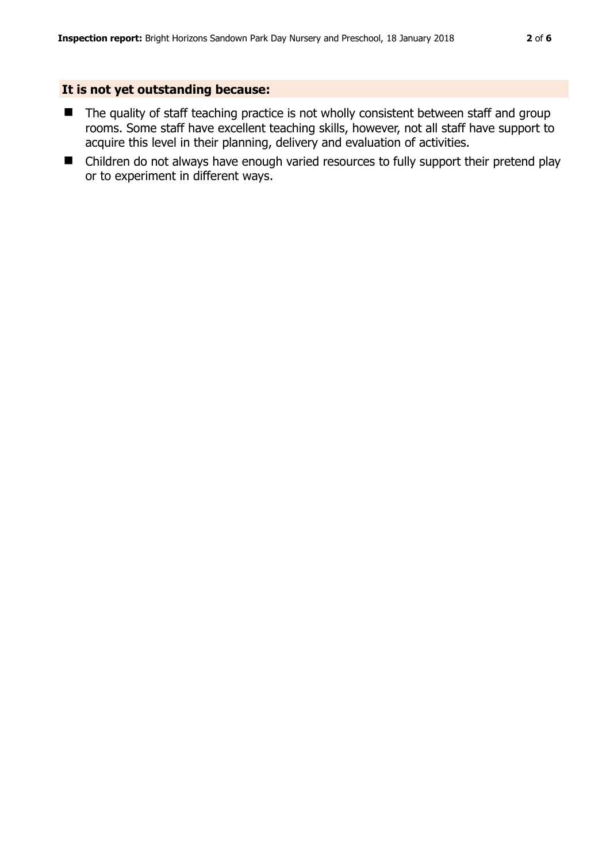#### **It is not yet outstanding because:**

- The quality of staff teaching practice is not wholly consistent between staff and group rooms. Some staff have excellent teaching skills, however, not all staff have support to acquire this level in their planning, delivery and evaluation of activities.
- Children do not always have enough varied resources to fully support their pretend play or to experiment in different ways.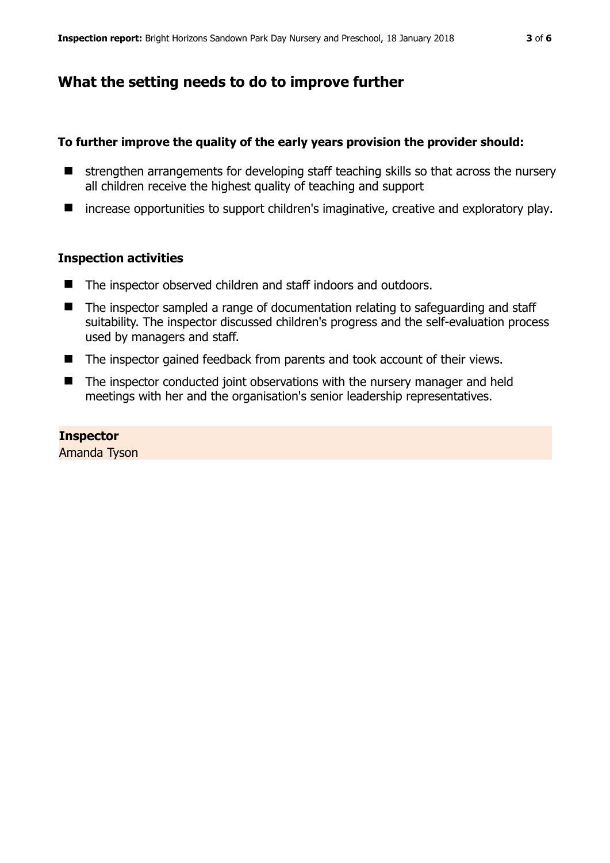## **What the setting needs to do to improve further**

#### **To further improve the quality of the early years provision the provider should:**

- $\blacksquare$  strengthen arrangements for developing staff teaching skills so that across the nursery all children receive the highest quality of teaching and support
- increase opportunities to support children's imaginative, creative and exploratory play.

#### **Inspection activities**

- The inspector observed children and staff indoors and outdoors.
- The inspector sampled a range of documentation relating to safeguarding and staff suitability. The inspector discussed children's progress and the self-evaluation process used by managers and staff.
- The inspector gained feedback from parents and took account of their views.
- The inspector conducted joint observations with the nursery manager and held meetings with her and the organisation's senior leadership representatives.

#### **Inspector**

Amanda Tyson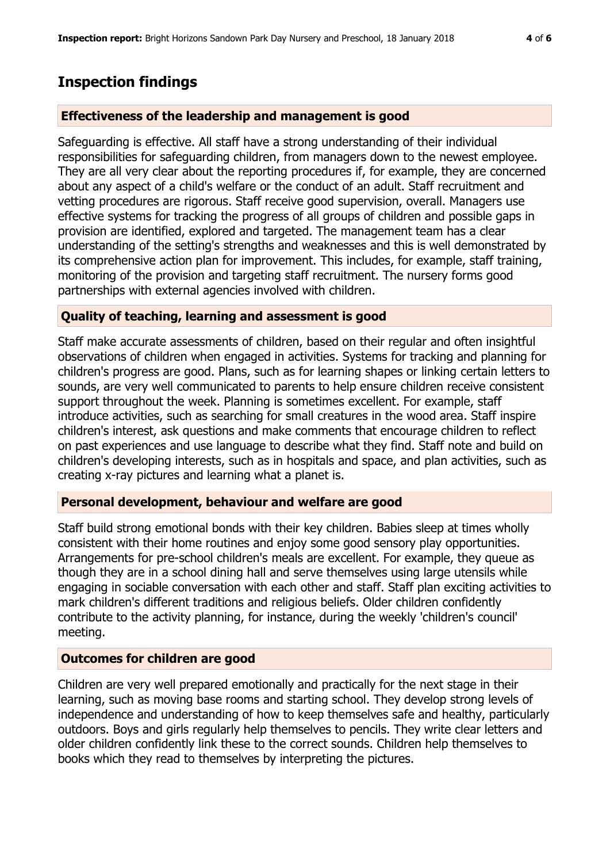# **Inspection findings**

#### **Effectiveness of the leadership and management is good**

Safeguarding is effective. All staff have a strong understanding of their individual responsibilities for safeguarding children, from managers down to the newest employee. They are all very clear about the reporting procedures if, for example, they are concerned about any aspect of a child's welfare or the conduct of an adult. Staff recruitment and vetting procedures are rigorous. Staff receive good supervision, overall. Managers use effective systems for tracking the progress of all groups of children and possible gaps in provision are identified, explored and targeted. The management team has a clear understanding of the setting's strengths and weaknesses and this is well demonstrated by its comprehensive action plan for improvement. This includes, for example, staff training, monitoring of the provision and targeting staff recruitment. The nursery forms good partnerships with external agencies involved with children.

### **Quality of teaching, learning and assessment is good**

Staff make accurate assessments of children, based on their regular and often insightful observations of children when engaged in activities. Systems for tracking and planning for children's progress are good. Plans, such as for learning shapes or linking certain letters to sounds, are very well communicated to parents to help ensure children receive consistent support throughout the week. Planning is sometimes excellent. For example, staff introduce activities, such as searching for small creatures in the wood area. Staff inspire children's interest, ask questions and make comments that encourage children to reflect on past experiences and use language to describe what they find. Staff note and build on children's developing interests, such as in hospitals and space, and plan activities, such as creating x-ray pictures and learning what a planet is.

#### **Personal development, behaviour and welfare are good**

Staff build strong emotional bonds with their key children. Babies sleep at times wholly consistent with their home routines and enjoy some good sensory play opportunities. Arrangements for pre-school children's meals are excellent. For example, they queue as though they are in a school dining hall and serve themselves using large utensils while engaging in sociable conversation with each other and staff. Staff plan exciting activities to mark children's different traditions and religious beliefs. Older children confidently contribute to the activity planning, for instance, during the weekly 'children's council' meeting.

## **Outcomes for children are good**

Children are very well prepared emotionally and practically for the next stage in their learning, such as moving base rooms and starting school. They develop strong levels of independence and understanding of how to keep themselves safe and healthy, particularly outdoors. Boys and girls regularly help themselves to pencils. They write clear letters and older children confidently link these to the correct sounds. Children help themselves to books which they read to themselves by interpreting the pictures.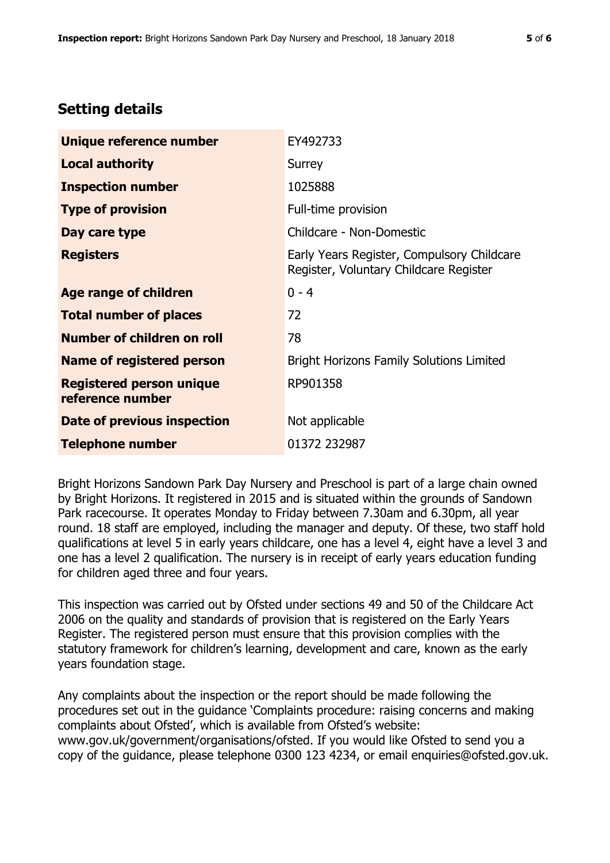# **Setting details**

| Unique reference number                             | EY492733                                                                             |  |
|-----------------------------------------------------|--------------------------------------------------------------------------------------|--|
| <b>Local authority</b>                              | Surrey                                                                               |  |
| <b>Inspection number</b>                            | 1025888                                                                              |  |
| <b>Type of provision</b>                            | Full-time provision                                                                  |  |
| Day care type                                       | Childcare - Non-Domestic                                                             |  |
| <b>Registers</b>                                    | Early Years Register, Compulsory Childcare<br>Register, Voluntary Childcare Register |  |
| Age range of children                               | $0 - 4$                                                                              |  |
| <b>Total number of places</b>                       | 72                                                                                   |  |
| Number of children on roll                          | 78                                                                                   |  |
| Name of registered person                           | <b>Bright Horizons Family Solutions Limited</b>                                      |  |
| <b>Registered person unique</b><br>reference number | RP901358                                                                             |  |
| Date of previous inspection                         | Not applicable                                                                       |  |
| <b>Telephone number</b>                             | 01372 232987                                                                         |  |

Bright Horizons Sandown Park Day Nursery and Preschool is part of a large chain owned by Bright Horizons. It registered in 2015 and is situated within the grounds of Sandown Park racecourse. It operates Monday to Friday between 7.30am and 6.30pm, all year round. 18 staff are employed, including the manager and deputy. Of these, two staff hold qualifications at level 5 in early years childcare, one has a level 4, eight have a level 3 and one has a level 2 qualification. The nursery is in receipt of early years education funding for children aged three and four years.

This inspection was carried out by Ofsted under sections 49 and 50 of the Childcare Act 2006 on the quality and standards of provision that is registered on the Early Years Register. The registered person must ensure that this provision complies with the statutory framework for children's learning, development and care, known as the early years foundation stage.

Any complaints about the inspection or the report should be made following the procedures set out in the guidance 'Complaints procedure: raising concerns and making complaints about Ofsted', which is available from Ofsted's website: www.gov.uk/government/organisations/ofsted. If you would like Ofsted to send you a copy of the guidance, please telephone 0300 123 4234, or email enquiries@ofsted.gov.uk.